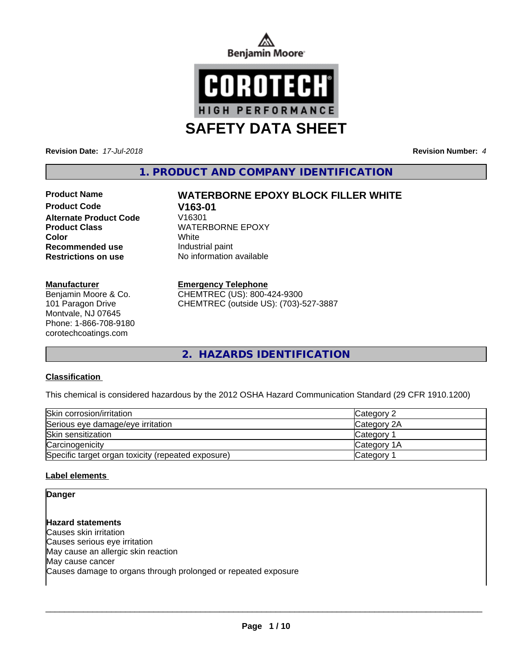



**Revision Date:** *17-Jul-2018* **Revision Number:** *4*

**1. PRODUCT AND COMPANY IDENTIFICATION**

**Product Code V163-01 Alternate Product Code Product Class WATERBORNE EPOXY Color** White White **Recommended use Industrial paint** 

### **Manufacturer**

Benjamin Moore & Co. 101 Paragon Drive Montvale, NJ 07645 Phone: 1-866-708-9180 corotechcoatings.com

# **Product Name WATERBORNE EPOXY BLOCK FILLER WHITE**

**Restrictions on use** No information available

### **Emergency Telephone**

CHEMTREC (US): 800-424-9300 CHEMTREC (outside US): (703)-527-3887

**2. HAZARDS IDENTIFICATION**

### **Classification**

This chemical is considered hazardous by the 2012 OSHA Hazard Communication Standard (29 CFR 1910.1200)

| Skin corrosion/irritation                          | Category 2         |
|----------------------------------------------------|--------------------|
| Serious eye damage/eye irritation                  | Category 2A        |
| Skin sensitization                                 | <b>Category</b>    |
| Carcinogenicity                                    | <b>Category 1A</b> |
| Specific target organ toxicity (repeated exposure) | Category           |

### **Label elements**

**Danger**

**Hazard statements** Causes skin irritation Causes serious eye irritation May cause an allergic skin reaction May cause cancer Causes damage to organs through prolonged or repeated exposure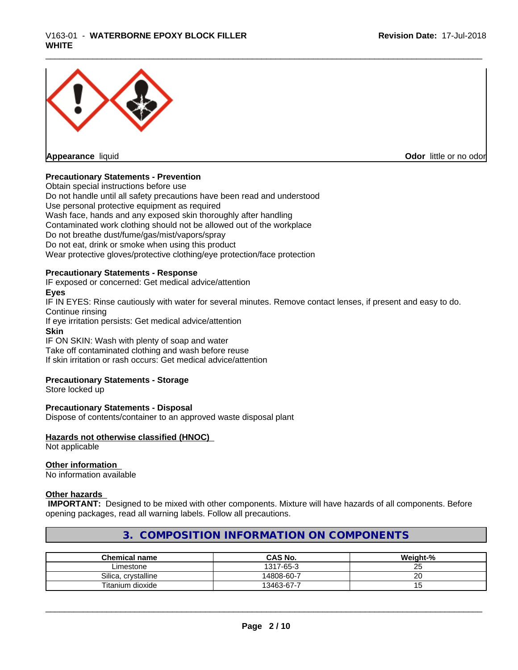

**Appearance** liquid

**Odor** little or no odor

### **Precautionary Statements - Prevention**

Obtain special instructions before use Do not handle until all safety precautions have been read and understood Use personal protective equipment as required Wash face, hands and any exposed skin thoroughly after handling Contaminated work clothing should not be allowed out of the workplace Do not breathe dust/fume/gas/mist/vapors/spray Do not eat, drink or smoke when using this product Wear protective gloves/protective clothing/eye protection/face protection

### **Precautionary Statements - Response**

IF exposed or concerned: Get medical advice/attention

### **Eyes**

IF IN EYES: Rinse cautiously with water for several minutes. Remove contact lenses, if present and easy to do. Continue rinsing

If eye irritation persists: Get medical advice/attention

### **Skin**

IF ON SKIN: Wash with plenty of soap and water Take off contaminated clothing and wash before reuse If skin irritation or rash occurs: Get medical advice/attention

### **Precautionary Statements - Storage**

Store locked up

### **Precautionary Statements - Disposal**

Dispose of contents/container to an approved waste disposal plant

### **Hazards not otherwise classified (HNOC)**

Not applicable

### **Other information**

No information available

### **Other hazards**

 **IMPORTANT:** Designed to be mixed with other components. Mixture will have hazards of all components. Before opening packages, read all warning labels. Follow all precautions.

## **3. COMPOSITION INFORMATION ON COMPONENTS**

| <b>Chemical name</b>   | CAS No.    | Weight-%        |
|------------------------|------------|-----------------|
| Limestone              | 1317-65-3  | $\sim$ $-$<br>້ |
| crystalline<br>Silica. | 14808-60-7 | ີ               |
| Titanium dioxide       | 13463-67-7 | $\cdot$ $\sim$  |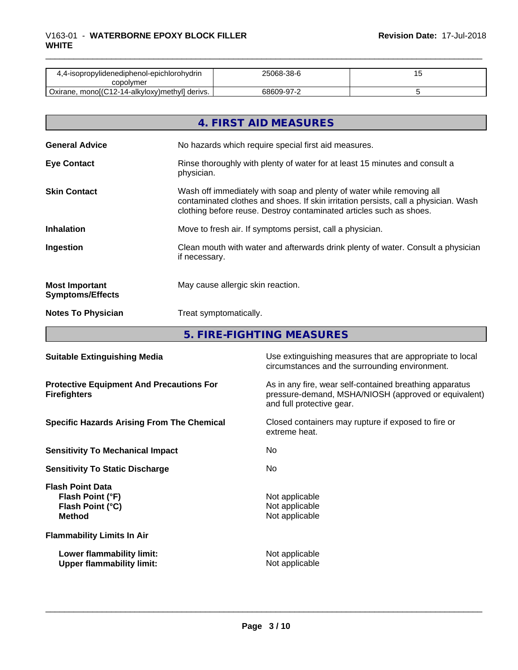| 4.4-isopropylidenediphenol-epichlorohydrin       | 25068-38-6 |  |
|--------------------------------------------------|------------|--|
| copolvmer                                        |            |  |
| ' Oxirane, mono[(C12-14-alkyloxy)methyl] derivs. | 68609-97-2 |  |

|                                                  | 4. FIRST AID MEASURES                                                                                                                                                                                                               |
|--------------------------------------------------|-------------------------------------------------------------------------------------------------------------------------------------------------------------------------------------------------------------------------------------|
| <b>General Advice</b>                            | No hazards which require special first aid measures.                                                                                                                                                                                |
| <b>Eye Contact</b>                               | Rinse thoroughly with plenty of water for at least 15 minutes and consult a<br>physician.                                                                                                                                           |
| <b>Skin Contact</b>                              | Wash off immediately with soap and plenty of water while removing all<br>contaminated clothes and shoes. If skin irritation persists, call a physician. Wash<br>clothing before reuse. Destroy contaminated articles such as shoes. |
| <b>Inhalation</b>                                | Move to fresh air. If symptoms persist, call a physician.                                                                                                                                                                           |
| Ingestion                                        | Clean mouth with water and afterwards drink plenty of water. Consult a physician<br>if necessary.                                                                                                                                   |
| <b>Most Important</b><br><b>Symptoms/Effects</b> | May cause allergic skin reaction.                                                                                                                                                                                                   |
| <b>Notes To Physician</b>                        | Treat symptomatically.                                                                                                                                                                                                              |

**5. FIRE-FIGHTING MEASURES**

| <b>Suitable Extinguishing Media</b>                                              | Use extinguishing measures that are appropriate to local<br>circumstances and the surrounding environment.                                   |
|----------------------------------------------------------------------------------|----------------------------------------------------------------------------------------------------------------------------------------------|
| <b>Protective Equipment And Precautions For</b><br><b>Firefighters</b>           | As in any fire, wear self-contained breathing apparatus<br>pressure-demand, MSHA/NIOSH (approved or equivalent)<br>and full protective gear. |
| <b>Specific Hazards Arising From The Chemical</b>                                | Closed containers may rupture if exposed to fire or<br>extreme heat.                                                                         |
| <b>Sensitivity To Mechanical Impact</b>                                          | No.                                                                                                                                          |
| <b>Sensitivity To Static Discharge</b>                                           | No.                                                                                                                                          |
| <b>Flash Point Data</b><br>Flash Point (°F)<br>Flash Point (°C)<br><b>Method</b> | Not applicable<br>Not applicable<br>Not applicable                                                                                           |
| <b>Flammability Limits In Air</b>                                                |                                                                                                                                              |
| Lower flammability limit:<br><b>Upper flammability limit:</b>                    | Not applicable<br>Not applicable                                                                                                             |
|                                                                                  |                                                                                                                                              |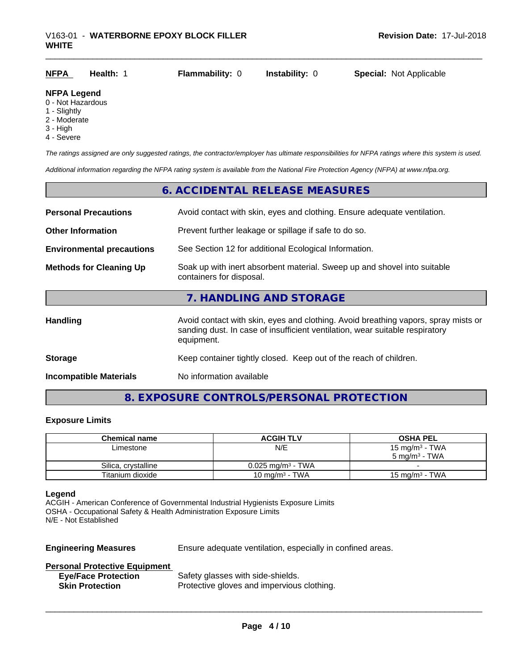| <b>NFPA</b> | Health: 1 | <b>Flammability: 0</b> | <b>Instability: 0</b> | <b>Special: Not Applicable</b> |
|-------------|-----------|------------------------|-----------------------|--------------------------------|
|             |           |                        |                       |                                |

### **NFPA Legend**

- 0 Not Hazardous
- 1 Slightly
- 2 Moderate
- 3 High
- 4 Severe

*The ratings assigned are only suggested ratings, the contractor/employer has ultimate responsibilities for NFPA ratings where this system is used.*

*Additional information regarding the NFPA rating system is available from the National Fire Protection Agency (NFPA) at www.nfpa.org.*

# **6. ACCIDENTAL RELEASE MEASURES Personal Precautions** Avoid contact with skin, eyes and clothing. Ensure adequate ventilation. **Other Information Prevent further leakage or spillage if safe to do so. Environmental precautions** See Section 12 for additional Ecological Information. **Methods for Cleaning Up** Soak up with inert absorbent material. Sweep up and shovel into suitable containers for disposal. **7. HANDLING AND STORAGE** Handling **Handling** Avoid contact with skin, eyes and clothing. Avoid breathing vapors, spray mists or sanding dust. In case of insufficient ventilation, wear suitable respiratory equipment. **Storage** Keep container tightly closed. Keep out of the reach of children. **Incompatible Materials** No information available

### **8. EXPOSURE CONTROLS/PERSONAL PROTECTION**

### **Exposure Limits**

| <b>Chemical name</b> | <b>ACGIH TLV</b>             | <b>OSHA PEL</b>                               |
|----------------------|------------------------------|-----------------------------------------------|
| Limestone            | N/E                          | 15 mg/m $3$ - TWA<br>$5 \text{ ma/m}^3$ - TWA |
| Silica, crystalline  | $0.025 \text{ ma/m}^3$ - TWA |                                               |
| Titanium dioxide     | 10 mg/m $3$ - TWA            | $15 \text{ mg/m}^3$ - TWA                     |

### **Legend**

ACGIH - American Conference of Governmental Industrial Hygienists Exposure Limits OSHA - Occupational Safety & Health Administration Exposure Limits N/E - Not Established

**Engineering Measures** Ensure adequate ventilation, especially in confined areas.

 $\overline{\phantom{a}}$  ,  $\overline{\phantom{a}}$  ,  $\overline{\phantom{a}}$  ,  $\overline{\phantom{a}}$  ,  $\overline{\phantom{a}}$  ,  $\overline{\phantom{a}}$  ,  $\overline{\phantom{a}}$  ,  $\overline{\phantom{a}}$  ,  $\overline{\phantom{a}}$  ,  $\overline{\phantom{a}}$  ,  $\overline{\phantom{a}}$  ,  $\overline{\phantom{a}}$  ,  $\overline{\phantom{a}}$  ,  $\overline{\phantom{a}}$  ,  $\overline{\phantom{a}}$  ,  $\overline{\phantom{a}}$ 

### **Personal Protective Equipment**

| <b>Eye/Face Protection</b> | Safety glasses with side-shields.          |
|----------------------------|--------------------------------------------|
| <b>Skin Protection</b>     | Protective gloves and impervious clothing. |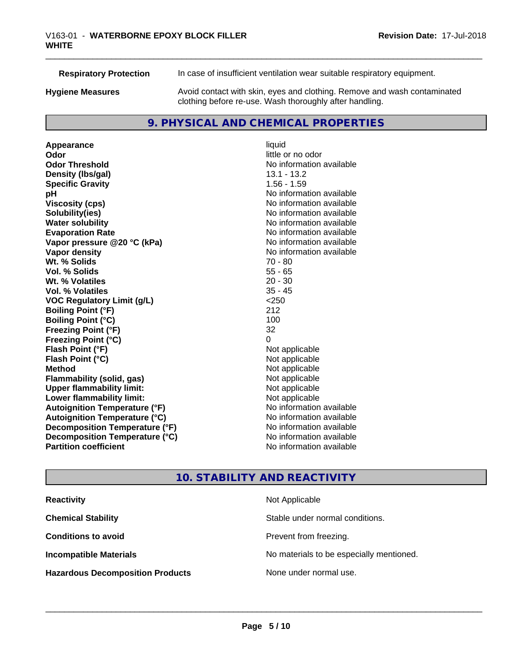**Respiratory Protection** In case of insufficient ventilation wear suitable respiratory equipment.

**Hygiene Measures** Avoid contact with skin, eyes and clothing. Remove and wash contaminated clothing before re-use. Wash thoroughly after handling.

### **9. PHYSICAL AND CHEMICAL PROPERTIES**

**Appearance** liquid **Odor Odor** little or no odor<br> **Odor Threshold Containery of the Containery of the Containery of the Containery of the Containery of the Containery of the Containery of the Containery of the Containery of the Container Density (Ibs/gal)** 13.1 - 13.2 **Specific Gravity** 1.56 - 1.59 **pH** No information available **Viscosity (cps)** No information available **Solubility(ies)** No information available **Evaporation Rate No information available No information available Vapor pressure @20 °C (kPa)** No information available **Vapor density No information available No** information available **Wt. % Solids** 70 - 80 **Vol. % Solids** 55 - 65<br> **Wt. % Volatiles** 20 - 30 **Wt. % Volatiles Vol. % Volatiles** 35 - 45<br> **VOC Requiatory Limit (q/L)** 250 <250 **VOC** Regulatory Limit (g/L) **Boiling Point (°F)** 212 **Boiling Point (°C)** 100 **Freezing Point (°F)** 32 **Freezing Point (°C)** 0 **Flash Point (°F)**<br> **Flash Point (°C)**<br> **Flash Point (°C)**<br> **C Flash Point (°C) Method** Not applicable **Flammability (solid, gas)** Not applicable<br> **Upper flammability limit:** Not applicable **Upper flammability limit: Lower flammability limit:** Not applicable **Autoignition Temperature (°F)** No information available **Autoignition Temperature (°C)** No information available **Decomposition Temperature (°F)** No information available **Decomposition Temperature (°C)** No information available **Partition coefficient Contract Contract Contract Contract Contract Contract Contract Contract Contract Contract Contract Contract Contract Contract Contract Contract Contract Contract Contract Contract Contract Contract** 

# **No information available No information available**

## **10. STABILITY AND REACTIVITY**

| <b>Reactivity</b>                       | Not Applicable                           |
|-----------------------------------------|------------------------------------------|
| <b>Chemical Stability</b>               | Stable under normal conditions.          |
| <b>Conditions to avoid</b>              | Prevent from freezing.                   |
| <b>Incompatible Materials</b>           | No materials to be especially mentioned. |
| <b>Hazardous Decomposition Products</b> | None under normal use.                   |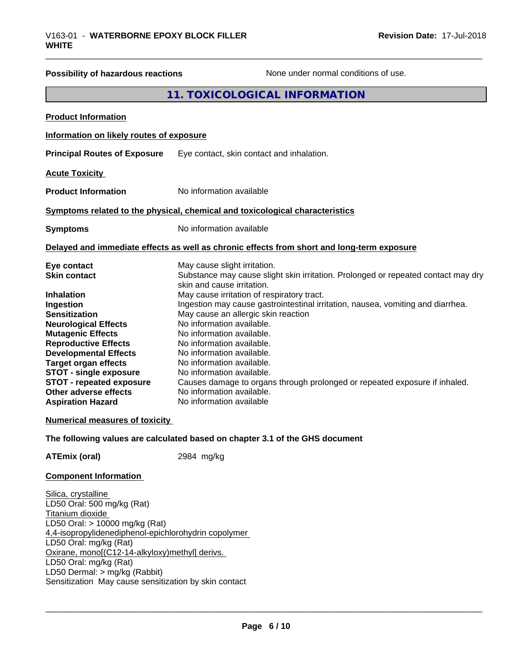# **Possibility of hazardous reactions** None under normal conditions of use. **11. TOXICOLOGICAL INFORMATION Product Information Information on likely routes of exposure Principal Routes of Exposure** Eye contact, skin contact and inhalation. **Acute Toxicity**

**Product Information** No information available

### **Symptoms related to the physical,chemical and toxicological characteristics**

**Symptoms** No information available

### **Delayed and immediate effects as well as chronic effects from short and long-term exposure**

| Eye contact                     | May cause slight irritation.                                                      |
|---------------------------------|-----------------------------------------------------------------------------------|
| <b>Skin contact</b>             | Substance may cause slight skin irritation. Prolonged or repeated contact may dry |
|                                 | skin and cause irritation.                                                        |
| <b>Inhalation</b>               | May cause irritation of respiratory tract.                                        |
| Ingestion                       | Ingestion may cause gastrointestinal irritation, nausea, vomiting and diarrhea.   |
| <b>Sensitization</b>            | May cause an allergic skin reaction                                               |
| <b>Neurological Effects</b>     | No information available.                                                         |
| <b>Mutagenic Effects</b>        | No information available.                                                         |
| <b>Reproductive Effects</b>     | No information available.                                                         |
| <b>Developmental Effects</b>    | No information available.                                                         |
| <b>Target organ effects</b>     | No information available.                                                         |
| <b>STOT - single exposure</b>   | No information available.                                                         |
| <b>STOT - repeated exposure</b> | Causes damage to organs through prolonged or repeated exposure if inhaled.        |
| Other adverse effects           | No information available.                                                         |
| <b>Aspiration Hazard</b>        | No information available                                                          |

### **Numerical measures of toxicity**

### **The following values are calculated based on chapter 3.1 of the GHS document**

**ATEmix (oral)** 2984 mg/kg

### **Component Information**

Silica, crystalline LD50 Oral: 500 mg/kg (Rat) Titanium dioxide LD50 Oral: > 10000 mg/kg (Rat) 4,4-isopropylidenediphenol-epichlorohydrin copolymer LD50 Oral: mg/kg (Rat) Oxirane, mono[(C12-14-alkyloxy)methyl] derivs. LD50 Oral: mg/kg (Rat) LD50 Dermal: > mg/kg (Rabbit) Sensitization May cause sensitization by skin contact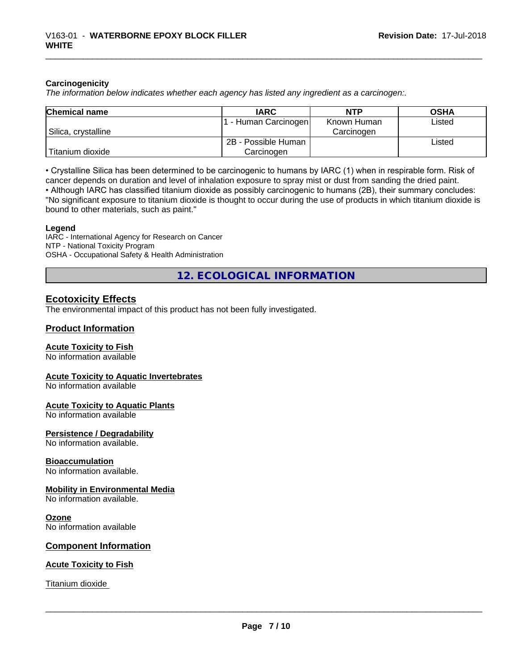### **Carcinogenicity**

*The information below indicateswhether each agency has listed any ingredient as a carcinogen:.*

| <b>Chemical name</b> | <b>IARC</b>          | <b>NTP</b>  | <b>OSHA</b> |
|----------------------|----------------------|-------------|-------------|
|                      | . - Human Carcinogen | Known Human | Listed      |
| Silica, crystalline  |                      | Carcinogen  |             |
|                      | 2B - Possible Human  |             | Listed      |
| Titanium dioxide     | Carcinoɑen           |             |             |

• Crystalline Silica has been determined to be carcinogenic to humans by IARC (1) when in respirable form. Risk of cancer depends on duration and level of inhalation exposure to spray mist or dust from sanding the dried paint.

• Although IARC has classified titanium dioxide as possibly carcinogenic to humans (2B), their summary concludes: "No significant exposure to titanium dioxide is thought to occur during the use of products in which titanium dioxide is bound to other materials, such as paint."

### **Legend**

IARC - International Agency for Research on Cancer NTP - National Toxicity Program OSHA - Occupational Safety & Health Administration

**12. ECOLOGICAL INFORMATION**

### **Ecotoxicity Effects**

The environmental impact of this product has not been fully investigated.

### **Product Information**

### **Acute Toxicity to Fish**

No information available

### **Acute Toxicity to Aquatic Invertebrates**

No information available

### **Acute Toxicity to Aquatic Plants**

No information available

### **Persistence / Degradability**

No information available.

### **Bioaccumulation**

No information available.

### **Mobility in Environmental Media**

No information available.

### **Ozone**

No information available

### **Component Information**

### **Acute Toxicity to Fish**

Titanium dioxide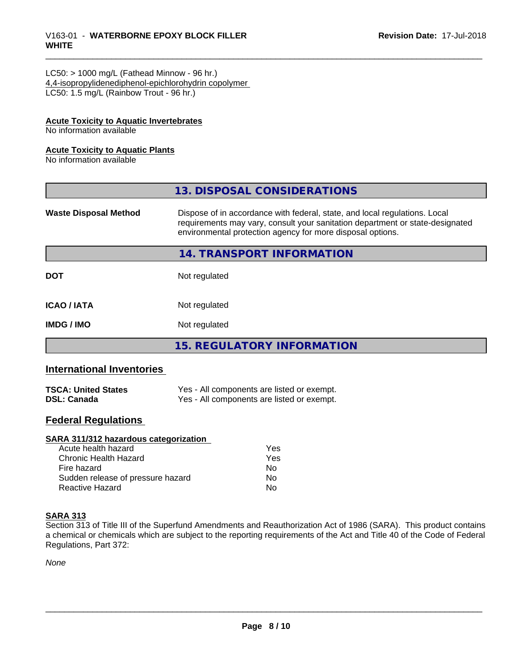# \_\_\_\_\_\_\_\_\_\_\_\_\_\_\_\_\_\_\_\_\_\_\_\_\_\_\_\_\_\_\_\_\_\_\_\_\_\_\_\_\_\_\_\_\_\_\_\_\_\_\_\_\_\_\_\_\_\_\_\_\_\_\_\_\_\_\_\_\_\_\_\_\_\_\_\_\_\_\_\_\_\_\_\_\_\_\_\_\_\_\_\_\_ V163-01 - **WATERBORNE EPOXY BLOCK FILLER WHITE**

### $LC50:$  > 1000 mg/L (Fathead Minnow - 96 hr.) 4,4-isopropylidenediphenol-epichlorohydrin copolymer LC50: 1.5 mg/L (Rainbow Trout - 96 hr.)

### **Acute Toxicity to Aquatic Invertebrates**

No information available

### **Acute Toxicity to Aquatic Plants**

No information available

|                              | 13. DISPOSAL CONSIDERATIONS                                                                                                                                                                                               |
|------------------------------|---------------------------------------------------------------------------------------------------------------------------------------------------------------------------------------------------------------------------|
| <b>Waste Disposal Method</b> | Dispose of in accordance with federal, state, and local regulations. Local<br>requirements may vary, consult your sanitation department or state-designated<br>environmental protection agency for more disposal options. |
|                              | 14. TRANSPORT INFORMATION                                                                                                                                                                                                 |
| <b>DOT</b>                   | Not regulated                                                                                                                                                                                                             |
| <b>ICAO/IATA</b>             | Not regulated                                                                                                                                                                                                             |
| <b>IMDG/IMO</b>              | Not regulated                                                                                                                                                                                                             |
|                              | <b>15. REGULATORY INFORMATION</b>                                                                                                                                                                                         |

### **International Inventories**

| <b>TSCA: United States</b> | Yes - All components are listed or exempt. |
|----------------------------|--------------------------------------------|
| <b>DSL: Canada</b>         | Yes - All components are listed or exempt. |

### **Federal Regulations**

### **SARA 311/312 hazardous categorization**

| Acute health hazard               | Yes |
|-----------------------------------|-----|
| Chronic Health Hazard             | Yes |
| Fire hazard                       | Nο  |
| Sudden release of pressure hazard | Nο  |
| Reactive Hazard                   | N٥  |

### **SARA 313**

Section 313 of Title III of the Superfund Amendments and Reauthorization Act of 1986 (SARA). This product contains a chemical or chemicals which are subject to the reporting requirements of the Act and Title 40 of the Code of Federal Regulations, Part 372:

*None*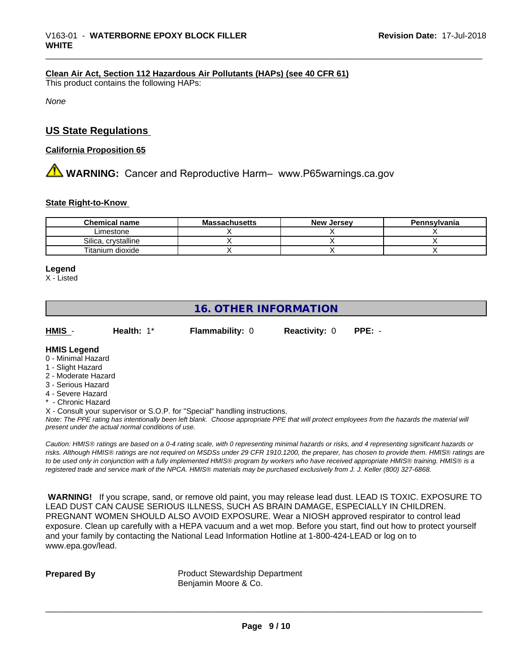### **Clean Air Act,Section 112 Hazardous Air Pollutants (HAPs) (see 40 CFR 61)**

This product contains the following HAPs:

*None*

### **US State Regulations**

### **California Proposition 65**

# **AVIMARNING:** Cancer and Reproductive Harm– www.P65warnings.ca.gov

### **State Right-to-Know**

| <b>Chemical name</b> | <b>Massachusetts</b> | <b>New Jersey</b> | Pennsylvania |
|----------------------|----------------------|-------------------|--------------|
| ∟imestone            |                      |                   |              |
| Silica, crystalline  |                      |                   |              |
| Titanium dioxide     |                      |                   |              |

### **Legend**

X - Listed

## **16. OTHER INFORMATION**

| HMIS | Health: 1* | <b>Flammability: 0</b> | <b>Reactivity: 0</b> | $PPE: -$ |
|------|------------|------------------------|----------------------|----------|
|      |            |                        |                      |          |

### **HMIS Legend**

- 0 Minimal Hazard
- 1 Slight Hazard
- 2 Moderate Hazard
- 3 Serious Hazard
- 4 Severe Hazard
- Chronic Hazard
- X Consult your supervisor or S.O.P. for "Special" handling instructions.

*Note: The PPE rating has intentionally been left blank. Choose appropriate PPE that will protect employees from the hazards the material will present under the actual normal conditions of use.*

*Caution: HMISÒ ratings are based on a 0-4 rating scale, with 0 representing minimal hazards or risks, and 4 representing significant hazards or risks. Although HMISÒ ratings are not required on MSDSs under 29 CFR 1910.1200, the preparer, has chosen to provide them. HMISÒ ratings are to be used only in conjunction with a fully implemented HMISÒ program by workers who have received appropriate HMISÒ training. HMISÒ is a registered trade and service mark of the NPCA. HMISÒ materials may be purchased exclusively from J. J. Keller (800) 327-6868.*

 **WARNING!** If you scrape, sand, or remove old paint, you may release lead dust. LEAD IS TOXIC. EXPOSURE TO LEAD DUST CAN CAUSE SERIOUS ILLNESS, SUCH AS BRAIN DAMAGE, ESPECIALLY IN CHILDREN. PREGNANT WOMEN SHOULD ALSO AVOID EXPOSURE. Wear a NIOSH approved respirator to control lead exposure. Clean up carefully with a HEPA vacuum and a wet mop. Before you start, find out how to protect yourself and your family by contacting the National Lead Information Hotline at 1-800-424-LEAD or log on to www.epa.gov/lead.

**Prepared By** Product Stewardship Department Benjamin Moore & Co.